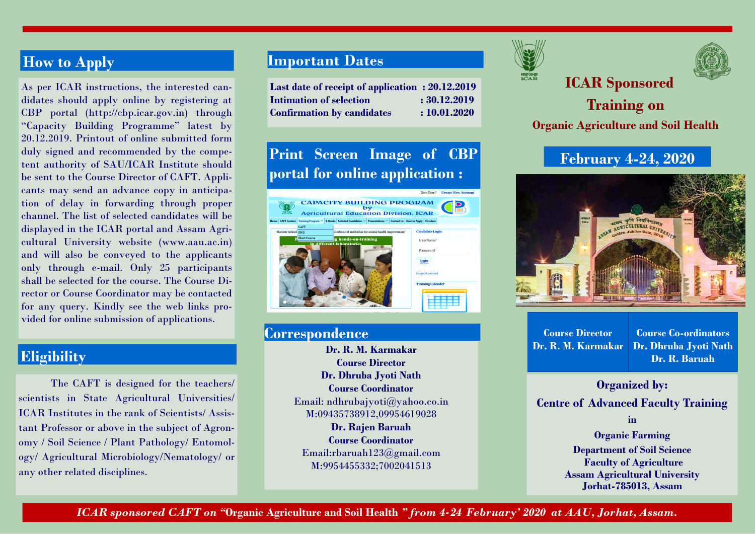## **How to Apply**

As per ICAR instructions, the interested candidates should apply online by registering at CBP portal (http://cbp.icar.gov.in) through "Capacity Building Programme" latest by 20.12.2019. Printout of online submitted form duly signed and recommended by the competent authority of SAU/ICAR Institute should be sent to the Course Director of CAFT. Applicants may send an advance copy in anticipation of delay in forwarding through proper channel. The list of selected candidates will be displayed in the ICAR portal and Assam Agricultural University website (www.aau.ac.in) and will also be conveyed to the applicants only through e-mail. Only 25 participants shall be selected for the course. The Course Director or Course Coordinator may be contacted for any query. Kindly see the web links provided for online submission of applications.

#### **Eligibility**

The CAFT is designed for the teachers/ scientists in State Agricultural Universities/ ICAR Institutes in the rank of Scientists/ Assistant Professor or above in the subject of Agronomy / Soil Science / Plant Pathology/ Entomology/ Agricultural Microbiology/Nematology/ or any other related disciplines.

#### **Important Dates**

**Last date of receipt of application : 20.12.2019 Intimation of selection**  $\cdot$  **: 30.12.2019 Confirmation by candidates : 10.01.2020** 

# **Print Screen Image of CBP portal for online application :**



#### **Correspondence**

**Course Director Dr. Dhruba Jyoti Nath Course Coordinator**  Email: ndhrubajyoti@yahoo.co.in M:09435738912,09954619028 **Dr. Rajen Baruah Course Coordinator**  Email:rbaruah123@gmail.com M:9954455332;7002041513



# **ICAR Sponsored**



# **Training on Organic Agriculture and Soil Health**

### **February 4-24, 2020**



**Course Director Dr. R. M. Karmakar Dr. R. M. Karmakar** 

**Course Co-ordinators Dr. Dhruba Jyoti Nath Dr. R. Baruah** 

#### **Organized by:**

**Centre of Advanced Faculty Training** 

**in** 

**Organic Farming Department of Soil Science Faculty of Agriculture Assam Agricultural University Jorhat-785013, Assam** 

*ICAR sponsored CAFT on "***Organic Agriculture and Soil Health** *" from 4-24 February' 2020 at AAU, Jorhat, Assam.*